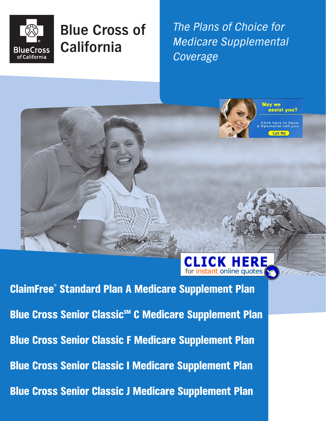

## **Blue Cross of California**

The Plans of Choice for Medicare Supplemental Coverage

TCK HERE



for instant online quotes ClaimFree® Standard Plan A Medicare Supplement Plan Blue Cross Senior Classic<sup>SM</sup> C Medicare Supplement Plan Blue Cross Senior Classic F Medicare Supplement Plan Blue Cross Senior Classic I Medicare Supplement Plan Blue Cross Senior Classic J Medicare Supplement Plan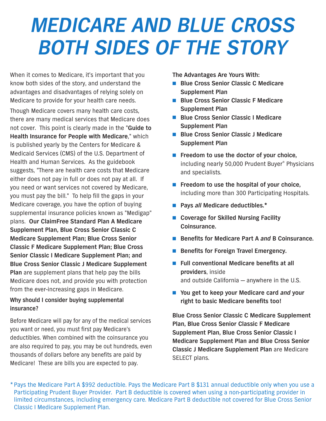# *MEDICARE AND BLUE CROSS BOTH SIDES OF THE STORY*

When it comes to Medicare, it's important that you know both sides of the story, and understand the advantages and disadvantages of relying solely on Medicare to provide for your health care needs.

Though Medicare covers many health care costs, there are many medical services that Medicare does not cover. This point is clearly made in the "**Guide to Health Insurance for People with Medicare**," which is published yearly by the Centers for Medicare & Medicaid Services (CMS) of the U.S. Department of Health and Human Services. As the guidebook suggests, "There are health care costs that Medicare either does not pay in full or does not pay at all. If you need or want services not covered by Medicare, you must pay the bill." To help fill the gaps in your Medicare coverage, you have the option of buying supplemental insurance policies known as "Medigap" plans. **Our ClaimFree Standard Plan A Medicare Supplement Plan, Blue Cross Senior Classic C Medicare Supplement Plan; Blue Cross Senior Classic F Medicare Supplement Plan; Blue Cross Senior Classic I Medicare Supplement Plan; and Blue Cross Senior Classic J Medicare Supplement Plan** are supplement plans that help pay the bills Medicare does not, and provide you with protection from the ever-increasing gaps in Medicare.

#### **Why should I consider buying supplemental insurance?**

Before Medicare will pay for any of the medical services you want or need, you must first pay Medicare's deductibles. When combined with the coinsurance you are also required to pay, you may be out hundreds, even thousands of dollars before any benefits are paid by Medicare! These are bills you are expected to pay.

**The Advantages Are Yours With:**

- **Blue Cross Senior Classic C Medicare Supplement Plan**
- **Blue Cross Senior Classic F Medicare Supplement Plan**
- **Blue Cross Senior Classic I Medicare Supplement Plan**
- **Blue Cross Senior Classic J Medicare Supplement Plan**
- **Freedom to use the doctor of your choice,** including nearly 50,000 Prudent Buyer® Physicians and specialists.
- **Freedom to use the hospital of your choice,** including more than 300 Participating Hospitals.
- **Pays all Medicare deductibles.**<sup>\*</sup>
- **Coverage for Skilled Nursing Facility Coinsurance.**
- **Benefits for Medicare Part A and B Coinsurance.**
- **Benefits for Foreign Travel Emergency.**
- **Full conventional Medicare benefits at all providers**, inside and outside California — anywhere in the U.S.
- You get to keep your Medicare card *and* your **right to basic Medicare benefits too!**

**Blue Cross Senior Classic C Medicare Supplement Plan, Blue Cross Senior Classic F Medicare Supplement Plan, Blue Cross Senior Classic I Medicare Supplement Plan and Blue Cross Senior Classic J Medicare Supplement Plan** are Medicare SELECT plans.

\*Pays the Medicare Part A \$992 deductible. Pays the Medicare Part B \$131 annual deductible only when you use a Participating Prudent Buyer Provider. Part B deductible is covered when using a non-participating provider in limited circumstances, including emergency care. Medicare Part B deductible not covered for Blue Cross Senior Classic I Medicare Supplement Plan.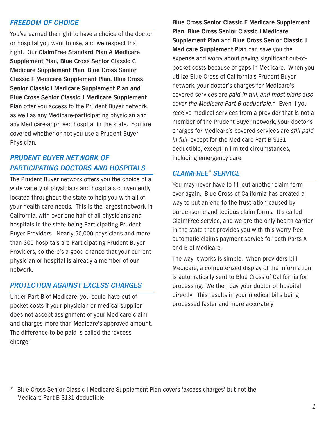#### *FREEDOM OF CHOICE*

You've earned the right to have a choice of the doctor or hospital you want to use, and we respect that right. Our **ClaimFree Standard Plan A Medicare Supplement Plan, Blue Cross Senior Classic C Medicare Supplement Plan, Blue Cross Senior Classic F Medicare Supplement Plan, Blue Cross Senior Classic I Medicare Supplement Plan and Blue Cross Senior Classic J Medicare Supplement Plan** offer you access to the Prudent Buyer network, as well as any Medicare-participating physician and any Medicare-approved hospital in the state. You are covered whether or not you use a Prudent Buyer Physician.

### *PRUDENT BUYER NETWORK OF PARTICIPATING DOCTORS AND HOSPITALS*

The Prudent Buyer network offers you the choice of a wide variety of physicians and hospitals conveniently located throughout the state to help you with all of your health care needs. This is the largest network in California, with over one half of all physicians and hospitals in the state being Participating Prudent Buyer Providers. Nearly 50,000 physicians and more than 300 hospitals are Participating Prudent Buyer Providers, so there's a good chance that your current physician or hospital is already a member of our network.

#### *PROTECTION AGAINST EXCESS CHARGES*

Under Part B of Medicare, you could have out-ofpocket costs if your physician or medical supplier does not accept assignment of your Medicare claim and charges more than Medicare's approved amount. The difference to be paid is called the 'excess charge.'

**Blue Cross Senior Classic F Medicare Supplement Plan, Blue Cross Senior Classic I Medicare Supplement Plan** and **Blue Cross Senior Classic J Medicare Supplement Plan** can save you the expense and worry about paying significant out-ofpocket costs because of gaps in Medicare. When you utilize Blue Cross of California's Prudent Buyer network, your doctor's charges for Medicare's covered services are paid in full, and most plans also cover the Medicare Part B deductible.\* Even if you receive medical services from a provider that is not a member of the Prudent Buyer network, your doctor's charges for Medicare's covered services are still paid in full, except for the Medicare Part B \$131 deductible, except in limited circumstances, including emergency care.

#### *CLAIMFREE*® *SERVICE*

You may never have to fill out another claim form ever again. Blue Cross of California has created a way to put an end to the frustration caused by burdensome and tedious claim forms. It's called ClaimFree service, and we are the only health carrier in the state that provides you with this worry-free automatic claims payment service for both Parts A and B of Medicare.

The way it works is simple. When providers bill Medicare, a computerized display of the information is automatically sent to Blue Cross of California for processing. We then pay your doctor or hospital directly. This results in your medical bills being processed faster and more accurately.

\* Blue Cross Senior Classic I Medicare Supplement Plan covers 'excess charges' but not the Medicare Part B \$131 deductible.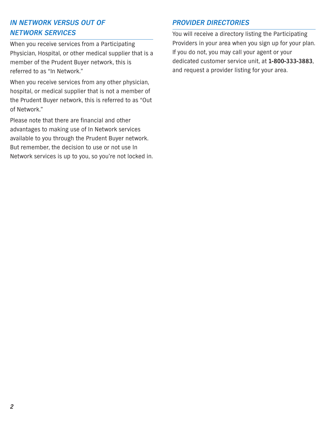## *IN NETWORK VERSUS OUT OF NETWORK SERVICES*

When you receive services from a Participating Physician, Hospital, or other medical supplier that is a member of the Prudent Buyer network, this is referred to as "In Network."

When you receive services from any other physician, hospital, or medical supplier that is not a member of the Prudent Buyer network, this is referred to as "Out of Network."

Please note that there are financial and other advantages to making use of In Network services available to you through the Prudent Buyer network. But remember, the decision to use or not use In Network services is up to you, so you're not locked in.

#### *PROVIDER DIRECTORIES*

You will receive a directory listing the Participating Providers in your area when you sign up for your plan. If you do not, you may call your agent or your dedicated customer service unit, at **1-800-333-3883**, and request a provider listing for your area.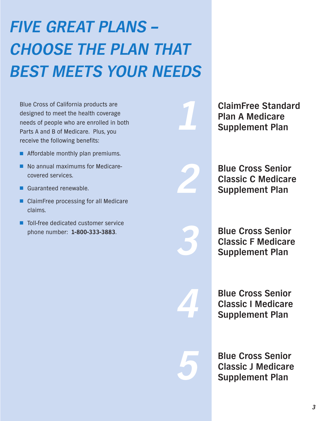# *FIVE GREAT PLANS – CHOOSE THE PLAN THAT BEST MEETS YOUR NEEDS*

Blue Cross of California products are designed to meet the health coverage needs of people who are enrolled in both Parts A and B of Medicare. Plus, you receive the following benefits:

- Affordable monthly plan premiums.
- No annual maximums for Medicarecovered services.
- Guaranteed renewable.
- ClaimFree processing for all Medicare claims.
- Toll-free dedicated customer service phone number: **1-800-333-3883**.

**ClaimFree Standard Plan A Medicare Supplement Plan**

**Blue Cross Senior Classic C Medicare Supplement Plan**

*3*

*4*

*5*

*1*

*2*

**Blue Cross Senior Classic F Medicare Supplement Plan**

**Blue Cross Senior Classic I Medicare Supplement Plan**

**Blue Cross Senior Classic J Medicare Supplement Plan**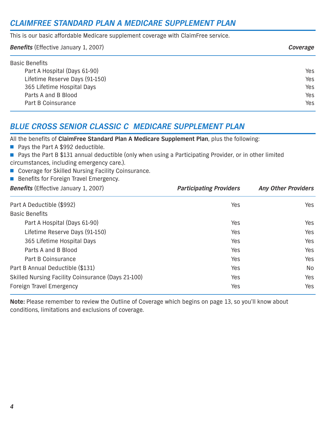## *CLAIMFREE STANDARD PLAN A MEDICARE SUPPLEMENT PLAN*

This is our basic affordable Medicare supplement coverage with ClaimFree service.

| <b>Benefits</b> (Effective January 1, 2007) | Coverage |
|---------------------------------------------|----------|
| <b>Basic Benefits</b>                       |          |
| Part A Hospital (Days 61-90)                | Yes      |
| Lifetime Reserve Days (91-150)              | Yes      |
| 365 Lifetime Hospital Days                  | Yes      |
| Parts A and B Blood                         | Yes      |
| Part B Coinsurance                          | Yes      |

## *BLUE CROSS SENIOR CLASSIC C MEDICARE SUPPLEMENT PLAN*

All the benefits of **ClaimFree Standard Plan A Medicare Supplement Plan**, plus the following:

■ Pays the Part A \$992 deductible.

■ Pays the Part B \$131 annual deductible (only when using a Participating Provider, or in other limited circumstances, including emergency care.).

- Coverage for Skilled Nursing Facility Coinsurance.
- Benefits for Foreign Travel Emergency.

| <b>Benefits</b> (Effective January 1, 2007) |  |
|---------------------------------------------|--|
|                                             |  |

| Part A Deductible (\$992)                          | Yes | Yes |
|----------------------------------------------------|-----|-----|
| <b>Basic Benefits</b>                              |     |     |
| Part A Hospital (Days 61-90)                       | Yes | Yes |
| Lifetime Reserve Days (91-150)                     | Yes | Yes |
| 365 Lifetime Hospital Days                         | Yes | Yes |
| Parts A and B Blood                                | Yes | Yes |
| Part B Coinsurance                                 | Yes | Yes |
| Part B Annual Deductible (\$131)                   | Yes | No  |
| Skilled Nursing Facility Coinsurance (Days 21-100) | Yes | Yes |
| <b>Foreign Travel Emergency</b>                    | Yes | Yes |

**Participating Providers** *Any Other Providers* 

**Note:** Please remember to review the Outline of Coverage which begins on page 13, so you'll know about conditions, limitations and exclusions of coverage.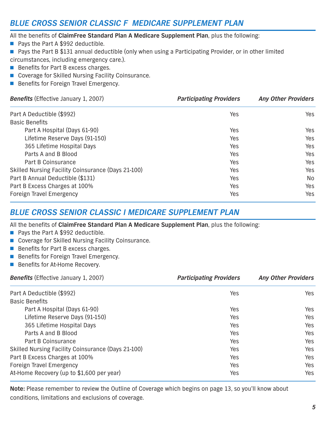## *BLUE CROSS SENIOR CLASSIC F MEDICARE SUPPLEMENT PLAN*

All the benefits of **ClaimFree Standard Plan A Medicare Supplement Plan**, plus the following:

- Pays the Part A \$992 deductible.
- Pays the Part B \$131 annual deductible (only when using a Participating Provider, or in other limited
- circumstances, including emergency care.).
- Benefits for Part B excess charges.
- Coverage for Skilled Nursing Facility Coinsurance.
- Benefits for Foreign Travel Emergency.

| <b>Benefits</b> (Effective January 1, 2007)        | <b>Participating Providers</b> | <b>Any Other Providers</b> |
|----------------------------------------------------|--------------------------------|----------------------------|
| Part A Deductible (\$992)                          | Yes                            | Yes                        |
| <b>Basic Benefits</b>                              |                                |                            |
| Part A Hospital (Days 61-90)                       | Yes                            | Yes                        |
| Lifetime Reserve Days (91-150)                     | Yes                            | Yes                        |
| 365 Lifetime Hospital Days                         | Yes                            | Yes                        |
| Parts A and B Blood                                | Yes                            | Yes                        |
| Part B Coinsurance                                 | Yes                            | Yes                        |
| Skilled Nursing Facility Coinsurance (Days 21-100) | Yes                            | Yes                        |
| Part B Annual Deductible (\$131)                   | Yes                            | No.                        |
| Part B Excess Charges at 100%                      | Yes                            | Yes                        |
| <b>Foreign Travel Emergency</b>                    | Yes                            | Yes                        |

### *BLUE CROSS SENIOR CLASSIC I MEDICARE SUPPLEMENT PLAN*

All the benefits of **ClaimFree Standard Plan A Medicare Supplement Plan**, plus the following:

- Pays the Part A \$992 deductible.
- Coverage for Skilled Nursing Facility Coinsurance.
- Benefits for Part B excess charges.
- Benefits for Foreign Travel Emergency.
- Benefits for At-Home Recovery.

| <b>Benefits</b> (Effective January 1, 2007)        | <b>Participating Providers</b> | <b>Any Other Providers</b> |
|----------------------------------------------------|--------------------------------|----------------------------|
| Part A Deductible (\$992)                          | Yes                            | Yes                        |
| <b>Basic Benefits</b>                              |                                |                            |
| Part A Hospital (Days 61-90)                       | Yes                            | Yes                        |
| Lifetime Reserve Days (91-150)                     | Yes                            | Yes                        |
| 365 Lifetime Hospital Days                         | Yes                            | Yes                        |
| Parts A and B Blood                                | Yes                            | <b>Yes</b>                 |
| Part B Coinsurance                                 | Yes                            | Yes                        |
| Skilled Nursing Facility Coinsurance (Days 21-100) | Yes                            | Yes                        |
| Part B Excess Charges at 100%                      | Yes                            | Yes                        |
| <b>Foreign Travel Emergency</b>                    | Yes                            | Yes                        |
| At-Home Recovery (up to \$1,600 per year)          | Yes                            | Yes                        |

**Note:** Please remember to review the Outline of Coverage which begins on page 13, so you'll know about conditions, limitations and exclusions of coverage.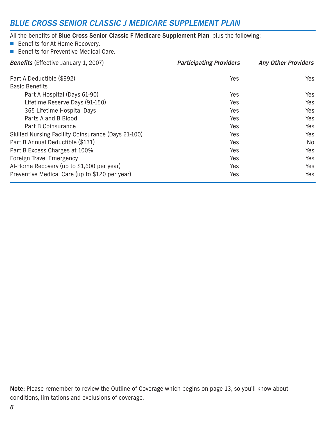### *BLUE CROSS SENIOR CLASSIC J MEDICARE SUPPLEMENT PLAN*

### All the benefits of **Blue Cross Senior Classic F Medicare Supplement Plan**, plus the following:

- Benefits for At-Home Recovery.
- Benefits for Preventive Medical Care.

| <b>Benefits</b> (Effective January 1, 2007)        | <b>Participating Providers</b> | <b>Any Other Providers</b> |
|----------------------------------------------------|--------------------------------|----------------------------|
| Part A Deductible (\$992)                          | Yes                            | Yes                        |
| <b>Basic Benefits</b>                              |                                |                            |
| Part A Hospital (Days 61-90)                       | Yes                            | Yes                        |
| Lifetime Reserve Days (91-150)                     | Yes                            | Yes                        |
| 365 Lifetime Hospital Days                         | Yes                            | Yes                        |
| Parts A and B Blood                                | Yes                            | Yes                        |
| Part B Coinsurance                                 | Yes                            | Yes                        |
| Skilled Nursing Facility Coinsurance (Days 21-100) | Yes                            | Yes                        |
| Part B Annual Deductible (\$131)                   | Yes                            | No.                        |
| Part B Excess Charges at 100%                      | Yes                            | Yes                        |
| <b>Foreign Travel Emergency</b>                    | Yes                            | Yes                        |
| At-Home Recovery (up to \$1,600 per year)          | Yes                            | Yes                        |
| Preventive Medical Care (up to \$120 per year)     | Yes                            | Yes                        |

**Note:** Please remember to review the Outline of Coverage which begins on page 13, so you'll know about conditions, limitations and exclusions of coverage.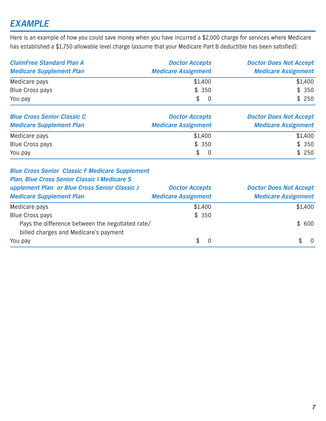## *EXAMPLE*

Here is an example of how you could save money when you have incurred a \$2,000 charge for services where Medicare has established a \$1,750 allowable level charge (assume that your Medicare Part B deductible has been satisfied):

| <b>ClaimFree Standard Plan A</b><br><b>Medicare Supplement Plan</b> | <b>Doctor Accepts</b><br><b>Medicare Assignment</b> | <b>Doctor Does Not Accept</b><br><b>Medicare Assignment</b> |
|---------------------------------------------------------------------|-----------------------------------------------------|-------------------------------------------------------------|
| Medicare pays                                                       | \$1,400                                             | \$1,400                                                     |
| <b>Blue Cross pays</b>                                              | \$350                                               | \$350                                                       |
| You pay                                                             | $\mathbb{S}^-$                                      | \$250                                                       |

| <b>Blue Cross Senior Classic C</b><br><b>Medicare Supplement Plan</b> | <b>Doctor Accepts</b><br><b>Medicare Assignment</b> | <b>Doctor Does Not Accept</b><br><b>Medicare Assignment</b> |
|-----------------------------------------------------------------------|-----------------------------------------------------|-------------------------------------------------------------|
| Medicare pays                                                         | \$1,400                                             | \$1,400                                                     |
| <b>Blue Cross pays</b>                                                | \$350                                               | \$350                                                       |
| You pay                                                               | $\mathbb{S}$                                        | \$250                                                       |

#### *Blue Cross Senior Classic F Medicare Supplement*

#### *Plan, Blue Cross Senior Classic I Medicare S*

| upplement Plan or Blue Cross Senior Classic J<br><b>Medicare Supplement Plan</b> | <b>Doctor Accepts</b><br><b>Medicare Assignment</b> | <b>Doctor Does Not Accept</b><br><b>Medicare Assignment</b> |
|----------------------------------------------------------------------------------|-----------------------------------------------------|-------------------------------------------------------------|
| Medicare pays                                                                    | \$1,400                                             | \$1,400                                                     |
| <b>Blue Cross pays</b>                                                           | \$350                                               |                                                             |
| Pays the difference between the negotiated rate/                                 |                                                     | \$600                                                       |
| billed charges and Medicare's payment                                            |                                                     |                                                             |
| You pay                                                                          | $\mathbb{S}$                                        | $\overline{0}$                                              |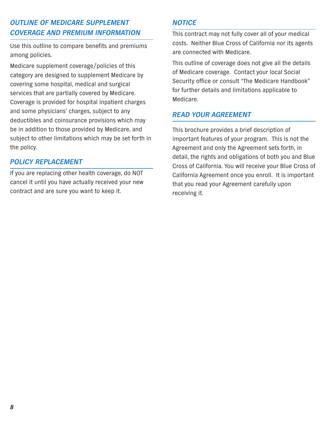## *OUTLINE OF MEDICARE SUPPLEMENT COVERAGE AND PREMIUM INFORMATION*

Use this outline to compare benefits and premiums among policies.

Medicare supplement coverage/policies of this category are designed to supplement Medicare by covering some hospital, medical and surgical services that are partially covered by Medicare. Coverage is provided for hospital inpatient charges and some physicians' charges, subject to any deductibles and coinsurance provisions which may be in addition to those provided by Medicare, and subject to other limitations which may be set forth in the policy.

#### *POLICY REPLACEMENT*

If you are replacing other health coverage, do NOT cancel it until you have actually received your new contract and are sure you want to keep it.

#### *NOTICE*

This contract may not fully cover all of your medical costs. Neither Blue Cross of California nor its agents are connected with Medicare.

This outline of coverage does not give all the details of Medicare coverage. Contact your local Social Security office or consult "The Medicare Handbook" for further details and limitations applicable to Medicare.

#### *READ YOUR AGREEMENT*

This brochure provides a brief description of important features of your program. This is not the Agreement and only the Agreement sets forth, in detail, the rights and obligations of both you and Blue Cross of California. You will receive your Blue Cross of California Agreement once you enroll. It is important that you read your Agreement carefully upon receiving it.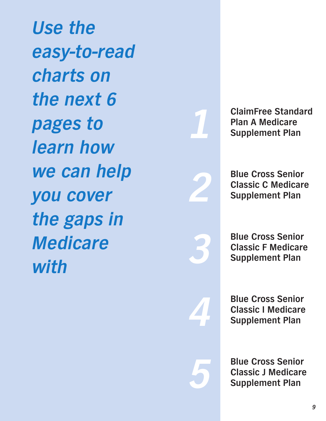*Use the easy-to-read charts on the next 6 pages to learn how we can help you cover the gaps in Medicare with*



**ClaimFree Standard Plan A Medicare Supplement Plan**

**Blue Cross Senior Classic C Medicare Supplement Plan**

*3*

*4*

*5*

**Blue Cross Senior Classic F Medicare Supplement Plan**

**Blue Cross Senior Classic I Medicare Supplement Plan**

**Blue Cross Senior Classic J Medicare Supplement Plan**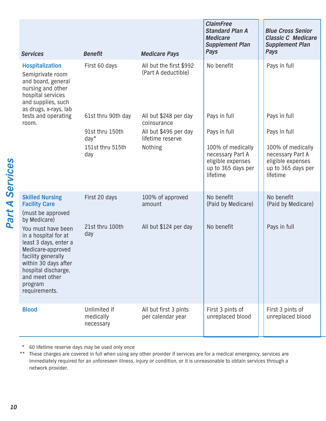| <b>Services</b>                                                                                                                                                                                             | <b>Benefit</b>                         | <b>Medicare Pays</b>                           | <b>ClaimFree</b><br><b>Standard Plan A</b><br><b>Medicare</b><br><b>Supplement Plan</b><br>Pays | <b>Blue Cross Senior</b><br><b>Classic C Medicare</b><br><b>Supplement Plan</b><br>Pays      |
|-------------------------------------------------------------------------------------------------------------------------------------------------------------------------------------------------------------|----------------------------------------|------------------------------------------------|-------------------------------------------------------------------------------------------------|----------------------------------------------------------------------------------------------|
| <b>Hospitalization</b><br>Semiprivate room<br>and board, general<br>nursing and other<br>hospital services<br>and supplies, such<br>as drugs, x-rays, lab                                                   | First 60 days                          | All but the first \$992<br>(Part A deductible) | No benefit                                                                                      | Pays in full                                                                                 |
| tests and operating<br>room.                                                                                                                                                                                | 61st thru 90th day                     | All but \$248 per day<br>coinsurance           | Pays in full                                                                                    | Pays in full                                                                                 |
|                                                                                                                                                                                                             | 91st thru 150th<br>$day*$              | All but \$496 per day<br>lifetime reserve      | Pays in full                                                                                    | Pays in full                                                                                 |
|                                                                                                                                                                                                             | 151st thru 515th<br>day                | Nothing                                        | 100% of medically<br>necessary Part A<br>eligible expenses<br>up to 365 days per<br>lifetime    | 100% of medically<br>necessary Part A<br>eligible expenses<br>up to 365 days per<br>lifetime |
| <b>Skilled Nursing</b><br><b>Facility Care</b><br>(must be approved<br>by Medicare)                                                                                                                         | First 20 days                          | 100% of approved<br>amount                     | No benefit<br>(Paid by Medicare)                                                                | No benefit<br>(Paid by Medicare)                                                             |
| You must have been<br>in a hospital for at<br>least 3 days, enter a<br>Medicare-approved<br>facility generally<br>within 30 days after<br>hospital discharge,<br>and meet other<br>program<br>requirements. | 21st thru 100th<br>day                 | All but \$124 per day                          | No benefit                                                                                      | Pays in full                                                                                 |
| <b>Blood</b>                                                                                                                                                                                                | Unlimited if<br>medically<br>necessary | All but first 3 pints<br>per calendar year     | First 3 pints of<br>unreplaced blood                                                            | First 3 pints of<br>unreplaced blood                                                         |

\* 60 lifetime reserve days may be used only once

\*\* These charges are covered in full when using any other provider if services are for a medical emergency, services are immediately required for an unforeseen illness, injury or condition, or it is unreasonable to obtain services through a network provider.

Part A Services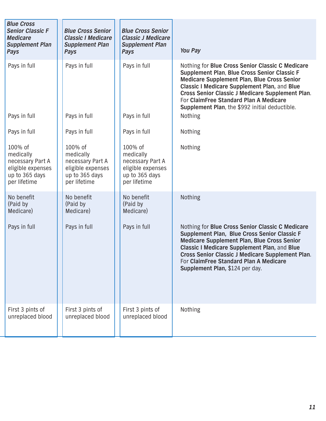| <b>Blue Cross</b><br><b>Senior Classic F</b><br><b>Medicare</b><br><b>Supplement Plan</b><br>Pays | <b>Blue Cross Senior</b><br><b>Classic I Medicare</b><br><b>Supplement Plan</b><br>Pays         | <b>Blue Cross Senior</b><br><b>Classic J Medicare</b><br><b>Supplement Plan</b><br><b>Pays</b>  | <b>You Pay</b>                                                                                                                                                                                                                                                                                                                                         |
|---------------------------------------------------------------------------------------------------|-------------------------------------------------------------------------------------------------|-------------------------------------------------------------------------------------------------|--------------------------------------------------------------------------------------------------------------------------------------------------------------------------------------------------------------------------------------------------------------------------------------------------------------------------------------------------------|
| Pays in full                                                                                      | Pays in full                                                                                    | Pays in full                                                                                    | Nothing for Blue Cross Senior Classic C Medicare<br>Supplement Plan, Blue Cross Senior Classic F<br>Medicare Supplement Plan, Blue Cross Senior<br><b>Classic I Medicare Supplement Plan, and Blue</b><br>Cross Senior Classic J Medicare Supplement Plan.<br>For ClaimFree Standard Plan A Medicare<br>Supplement Plan, the \$992 initial deductible. |
| Pays in full                                                                                      | Pays in full                                                                                    | Pays in full                                                                                    | Nothing                                                                                                                                                                                                                                                                                                                                                |
| Pays in full                                                                                      | Pays in full                                                                                    | Pays in full                                                                                    | Nothing                                                                                                                                                                                                                                                                                                                                                |
| 100% of<br>medically<br>necessary Part A<br>eligible expenses<br>up to 365 days<br>per lifetime   | 100% of<br>medically<br>necessary Part A<br>eligible expenses<br>up to 365 days<br>per lifetime | 100% of<br>medically<br>necessary Part A<br>eligible expenses<br>up to 365 days<br>per lifetime | Nothing                                                                                                                                                                                                                                                                                                                                                |
| No benefit<br>(Paid by<br>Medicare)                                                               | No benefit<br>(Paid by<br>Medicare)                                                             | No benefit<br>(Paid by<br>Medicare)                                                             | Nothing                                                                                                                                                                                                                                                                                                                                                |
| Pays in full                                                                                      | Pays in full                                                                                    | Pays in full                                                                                    | Nothing for Blue Cross Senior Classic C Medicare<br>Supplement Plan, Blue Cross Senior Classic F<br>Medicare Supplement Plan, Blue Cross Senior<br><b>Classic I Medicare Supplement Plan, and Blue</b><br>Cross Senior Classic J Medicare Supplement Plan.<br>For ClaimFree Standard Plan A Medicare<br>Supplement Plan, \$124 per day.                |
| First 3 pints of<br>unreplaced blood                                                              | First 3 pints of<br>unreplaced blood                                                            | First 3 pints of<br>unreplaced blood                                                            | Nothing                                                                                                                                                                                                                                                                                                                                                |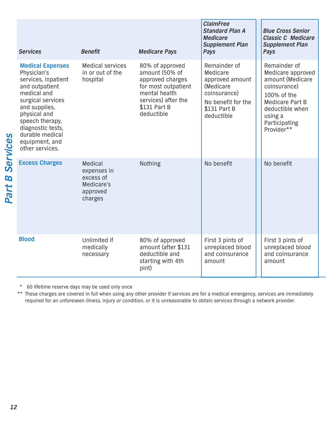|           | <b>Services</b>                                                                                                                                                                                                                                      | <b>Benefit</b>                                                           | <b>Medicare Pays</b>                                                                                                                                                                                                                                               | <b>ClaimFree</b><br><b>Standard Plan A</b><br><b>Medicare</b><br><b>Supplement Plan</b><br>Pays                              |  | <b>Blue Cross Senior</b><br><b>Classic C Medicare</b><br><b>Supplement Plan</b><br>Pays                                                                              |  |
|-----------|------------------------------------------------------------------------------------------------------------------------------------------------------------------------------------------------------------------------------------------------------|--------------------------------------------------------------------------|--------------------------------------------------------------------------------------------------------------------------------------------------------------------------------------------------------------------------------------------------------------------|------------------------------------------------------------------------------------------------------------------------------|--|----------------------------------------------------------------------------------------------------------------------------------------------------------------------|--|
| Services  | <b>Medical Expenses</b><br>Physician's<br>services, inpatient<br>and outpatient<br>medical and<br>surgical services<br>and supplies,<br>physical and<br>speech therapy,<br>diagnostic tests,<br>durable medical<br>equipment, and<br>other services. | <b>Medical services</b><br>in or out of the<br>hospital                  | 80% of approved<br>amount (50% of<br>approved charges<br>for most outpatient<br>mental health<br>services) after the<br>\$131 Part B<br>deductible                                                                                                                 | Remainder of<br>Medicare<br>approved amount<br>(Medicare<br>coinsurance)<br>No benefit for the<br>\$131 Part B<br>deductible |  | Remainder of<br>Medicare approved<br>amount (Medicare<br>coinsurance)<br>100% of the<br>Medicare Part B<br>deductible when<br>using a<br>Participating<br>Provider** |  |
| B<br>Part | <b>Excess Charges</b>                                                                                                                                                                                                                                | Medical<br>expenses in<br>excess of<br>Medicare's<br>approved<br>charges | Nothing                                                                                                                                                                                                                                                            | No benefit                                                                                                                   |  | No benefit                                                                                                                                                           |  |
|           | <b>Blood</b>                                                                                                                                                                                                                                         | Unlimited if<br>medically<br>necessary                                   | 80% of approved<br>amount (after \$131<br>deductible and<br>starting with 4th<br>pint)                                                                                                                                                                             | First 3 pints of<br>unreplaced blood<br>and coinsurance<br>amount                                                            |  | First 3 pints of<br>unreplaced blood<br>and coinsurance<br>amount                                                                                                    |  |
|           | 60 lifetime reserve days may be used only once<br>$\ast$                                                                                                                                                                                             |                                                                          | These charges are covered in full when using any other provider if services are for a medical emergency, services are immediately<br>required for an unforeseen illness, injury or condition, or it is unreasonable to obtain services through a network provider. |                                                                                                                              |  |                                                                                                                                                                      |  |
|           |                                                                                                                                                                                                                                                      |                                                                          |                                                                                                                                                                                                                                                                    |                                                                                                                              |  |                                                                                                                                                                      |  |
|           | 12                                                                                                                                                                                                                                                   |                                                                          |                                                                                                                                                                                                                                                                    |                                                                                                                              |  |                                                                                                                                                                      |  |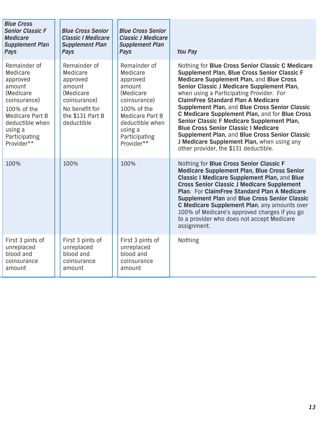| <b>Blue Cross</b><br><b>Senior Classic F</b><br><b>Medicare</b><br><b>Supplement Plan</b><br>Pays                                                                                 | <b>Blue Cross Senior</b><br><b>Classic I Medicare</b><br><b>Supplement Plan</b><br>Pays                                         | <b>Blue Cross Senior</b><br><b>Classic J Medicare</b><br><b>Supplement Plan</b><br>Pays                                                                                     | You Pay                                                                                                                                                                                                                                                                                                                                                                                                                                                                                                                                                                                                                       |
|-----------------------------------------------------------------------------------------------------------------------------------------------------------------------------------|---------------------------------------------------------------------------------------------------------------------------------|-----------------------------------------------------------------------------------------------------------------------------------------------------------------------------|-------------------------------------------------------------------------------------------------------------------------------------------------------------------------------------------------------------------------------------------------------------------------------------------------------------------------------------------------------------------------------------------------------------------------------------------------------------------------------------------------------------------------------------------------------------------------------------------------------------------------------|
| Remainder of<br>Medicare<br>approved<br>amount<br>(Medicare<br>coinsurance)<br>100% of the<br><b>Medicare Part B</b><br>deductible when<br>using a<br>Participating<br>Provider** | Remainder of<br>Medicare<br>approved<br>amount<br>(Medicare<br>coinsurance)<br>No benefit for<br>the \$131 Part B<br>deductible | Remainder of<br>Medicare<br>approved<br>amount<br>(Medicare)<br>coinsurance)<br>100% of the<br>Medicare Part B<br>deductible when<br>using a<br>Participating<br>Provider** | Nothing for Blue Cross Senior Classic C Medicare<br>Supplement Plan, Blue Cross Senior Classic F<br>Medicare Supplement Plan, and Blue Cross<br>Senior Classic J Medicare Supplement Plan,<br>when using a Participating Provider. For<br><b>ClaimFree Standard Plan A Medicare</b><br>Supplement Plan, and Blue Cross Senior Classic<br>C Medicare Supplement Plan, and for Blue Cross<br>Senior Classic F Medicare Supplement Plan,<br><b>Blue Cross Senior Classic I Medicare</b><br>Supplement Plan, and Blue Cross Senior Classic<br>J Medicare Supplement Plan, when using any<br>other provider, the \$131 deductible. |
| 100%                                                                                                                                                                              | 100%                                                                                                                            | 100%                                                                                                                                                                        | Nothing for Blue Cross Senior Classic F<br><b>Medicare Supplement Plan, Blue Cross Senior</b><br>Classic I Medicare Supplement Plan, and Blue<br><b>Cross Senior Classic J Medicare Supplement</b><br>Plan. For ClaimFree Standard Plan A Medicare<br>Supplement Plan and Blue Cross Senior Classic<br>C Medicare Supplement Plan, any amounts over<br>100% of Medicare's approved charges if you go<br>to a provider who does not accept Medicare<br>assignment.                                                                                                                                                             |
| First 3 pints of<br>unreplaced<br>blood and<br>coinsurance<br>amount                                                                                                              | First 3 pints of<br>unreplaced<br>blood and<br>coinsurance<br>amount                                                            | First 3 pints of<br>unreplaced<br>blood and<br>coinsurance<br>amount                                                                                                        | Nothing                                                                                                                                                                                                                                                                                                                                                                                                                                                                                                                                                                                                                       |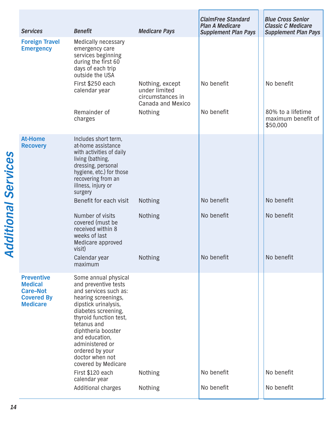| <b>Services</b>                                                                                | <b>Benefit</b>                                                                                                                                                                                                                                                                                                                                                          | <b>Medicare Pays</b>                                                                        | <b>ClaimFree Standard</b><br><b>Plan A Medicare</b><br><b>Supplement Plan Pays</b> | <b>Blue Cross Senior</b><br><b>Classic C Medicare</b><br><b>Supplement Plan Pays</b> |
|------------------------------------------------------------------------------------------------|-------------------------------------------------------------------------------------------------------------------------------------------------------------------------------------------------------------------------------------------------------------------------------------------------------------------------------------------------------------------------|---------------------------------------------------------------------------------------------|------------------------------------------------------------------------------------|--------------------------------------------------------------------------------------|
| <b>Foreign Travel</b><br><b>Emergency</b>                                                      | <b>Medically necessary</b><br>emergency care<br>services beginning<br>during the first 60<br>days of each trip<br>outside the USA<br>First \$250 each<br>calendar year<br>Remainder of<br>charges                                                                                                                                                                       | Nothing, except<br>under limited<br>circumstances in<br>Canada and Mexico<br><b>Nothing</b> | No benefit<br>No benefit                                                           | No benefit<br>80% to a lifetime<br>maximum benefit of<br>\$50,000                    |
| <b>At-Home</b><br><b>Recovery</b>                                                              | Includes short term,<br>at-home assistance<br>with activities of daily<br>living (bathing,<br>dressing, personal<br>hygiene, etc.) for those<br>recovering from an<br>illness, injury or                                                                                                                                                                                |                                                                                             |                                                                                    |                                                                                      |
|                                                                                                | surgery<br>Benefit for each visit                                                                                                                                                                                                                                                                                                                                       | <b>Nothing</b>                                                                              | No benefit                                                                         | No benefit                                                                           |
|                                                                                                | Number of visits<br>covered (must be<br>received within 8<br>weeks of last<br>Medicare approved<br>visit)                                                                                                                                                                                                                                                               | <b>Nothing</b>                                                                              | No benefit                                                                         | No benefit                                                                           |
|                                                                                                | Calendar year<br>maximum                                                                                                                                                                                                                                                                                                                                                | <b>Nothing</b>                                                                              | No benefit                                                                         | No benefit                                                                           |
| <b>Preventive</b><br><b>Medical</b><br><b>Care-Not</b><br><b>Covered By</b><br><b>Medicare</b> | Some annual physical<br>and preventive tests<br>and services such as:<br>hearing screenings,<br>dipstick urinalysis,<br>diabetes screening,<br>thyroid function test,<br>tetanus and<br>diphtheria booster<br>and education,<br>administered or<br>ordered by your<br>doctor when not<br>covered by Medicare<br>First \$120 each<br>calendar year<br>Additional charges | <b>Nothing</b><br><b>Nothing</b>                                                            | No benefit<br>No benefit                                                           | No benefit<br>No benefit                                                             |
|                                                                                                |                                                                                                                                                                                                                                                                                                                                                                         |                                                                                             |                                                                                    |                                                                                      |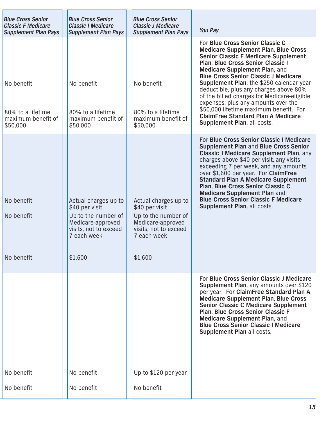| <b>Blue Cross Senior</b><br><b>Classic F Medicare</b><br><b>Supplement Plan Pays</b> | <b>Blue Cross Senior</b><br><b>Classic I Medicare</b><br><b>Supplement Plan Pays</b>                                                  | <b>Blue Cross Senior</b><br><b>Classic J Medicare</b><br><b>Supplement Plan Pays</b>                                                  | <b>You Pay</b>                                                                                                                                                                                                                                                                                                                                                                                                                                                                                                                                       |
|--------------------------------------------------------------------------------------|---------------------------------------------------------------------------------------------------------------------------------------|---------------------------------------------------------------------------------------------------------------------------------------|------------------------------------------------------------------------------------------------------------------------------------------------------------------------------------------------------------------------------------------------------------------------------------------------------------------------------------------------------------------------------------------------------------------------------------------------------------------------------------------------------------------------------------------------------|
| No benefit<br>80% to a lifetime<br>maximum benefit of<br>\$50,000                    | No benefit<br>80% to a lifetime<br>maximum benefit of<br>\$50,000                                                                     | No benefit<br>80% to a lifetime<br>maximum benefit of<br>\$50,000                                                                     | For Blue Cross Senior Classic C<br><b>Medicare Supplement Plan, Blue Cross</b><br><b>Senior Classic F Medicare Supplement</b><br>Plan, Blue Cross Senior Classic I<br>Medicare Supplement Plan, and<br><b>Blue Cross Senior Classic J Medicare</b><br>Supplement Plan, the \$250 calendar year<br>deductible, plus any charges above 80%<br>of the billed charges for Medicare-eligible<br>expenses, plus any amounts over the<br>\$50,000 lifetime maximum benefit. For<br><b>ClaimFree Standard Plan A Medicare</b><br>Supplement Plan, all costs. |
| No benefit<br>No benefit<br>No benefit                                               | Actual charges up to<br>\$40 per visit<br>Up to the number of<br>Medicare-approved<br>visits, not to exceed<br>7 each week<br>\$1,600 | Actual charges up to<br>\$40 per visit<br>Up to the number of<br>Medicare-approved<br>visits, not to exceed<br>7 each week<br>\$1,600 | For Blue Cross Senior Classic I Medicare<br><b>Supplement Plan and Blue Cross Senior</b><br><b>Classic J Medicare Supplement Plan, any</b><br>charges above \$40 per visit, any visits<br>exceeding 7 per week, and any amounts<br>over \$1,600 per year. For ClaimFree<br><b>Standard Plan A Medicare Supplement</b><br>Plan, Blue Cross Senior Classic C<br><b>Medicare Supplement Plan and</b><br><b>Blue Cross Senior Classic F Medicare</b><br>Supplement Plan, all costs.                                                                      |
| No benefit<br>No benefit                                                             | No benefit<br>No benefit                                                                                                              | Up to \$120 per year<br>No benefit                                                                                                    | For Blue Cross Senior Classic J Medicare<br>Supplement Plan, any amounts over \$120<br>per year. For ClaimFree Standard Plan A<br><b>Medicare Supplement Plan, Blue Cross</b><br><b>Senior Classic C Medicare Supplement</b><br>Plan, Blue Cross Senior Classic F<br>Medicare Supplement Plan, and<br><b>Blue Cross Senior Classic I Medicare</b><br>Supplement Plan all costs.                                                                                                                                                                      |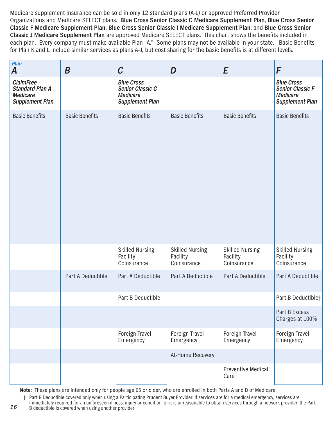Medicare supplement insurance can be sold in only 12 standard plans (A-L) or approved Preferred Provider Organizations and Medicare SELECT plans. **Blue Cross Senior Classic C Medicare Supplement Plan**, **Blue Cross Senior Classic F Medicare Supplement Plan, Blue Cross Senior Classic I Medicare Supplement Plan,** and **Blue Cross Senior Classic J Medicare Supplement Plan** are approved Medicare SELECT plans. This chart shows the benefits included in each plan. Every company must make available Plan "A." Some plans may not be available in your state. Basic Benefits for Plan K and L include similar services as plans A-J, but cost sharing for the basic benefits is at different levels.

| Plan<br>$\boldsymbol{A}$                                                                | $\boldsymbol{B}$      | $\mathcal C$                                                                       | D                                                 | E                                                 | F                                                                                         |
|-----------------------------------------------------------------------------------------|-----------------------|------------------------------------------------------------------------------------|---------------------------------------------------|---------------------------------------------------|-------------------------------------------------------------------------------------------|
| <b>ClaimFree</b><br><b>Standard Plan A</b><br><b>Medicare</b><br><b>Supplement Plan</b> |                       | <b>Blue Cross</b><br>Senior Classic C<br><b>Medicare</b><br><b>Supplement Plan</b> |                                                   |                                                   | <b>Blue Cross</b><br><b>Senior Classic F</b><br><b>Medicare</b><br><b>Supplement Plan</b> |
| <b>Basic Benefits</b>                                                                   | <b>Basic Benefits</b> | <b>Basic Benefits</b>                                                              | <b>Basic Benefits</b>                             | <b>Basic Benefits</b>                             | <b>Basic Benefits</b>                                                                     |
|                                                                                         |                       | <b>Skilled Nursing</b><br>Facility<br>Coinsurance                                  | <b>Skilled Nursing</b><br>Facility<br>Coinsurance | <b>Skilled Nursing</b><br>Facility<br>Coinsurance | <b>Skilled Nursing</b><br>Facility<br>Coinsurance                                         |
|                                                                                         | Part A Deductible     | Part A Deductible                                                                  | Part A Deductible                                 | Part A Deductible                                 | Part A Deductible                                                                         |
|                                                                                         |                       | Part B Deductible                                                                  |                                                   |                                                   | Part B Deductible+                                                                        |
|                                                                                         |                       |                                                                                    |                                                   |                                                   | Part B Excess<br>Charges at 100%                                                          |
|                                                                                         |                       | Foreign Travel<br>Emergency                                                        | Foreign Travel<br>Emergency                       | Foreign Travel<br>Emergency                       | Foreign Travel<br>Emergency                                                               |
|                                                                                         |                       |                                                                                    | At-Home Recovery                                  |                                                   |                                                                                           |
|                                                                                         |                       |                                                                                    |                                                   | Preventive Medical<br>Care                        |                                                                                           |

**Note**: These plans are intended only for people age 65 or older, who are enrolled in both Parts A and B of Medicare.

† Part B Deductible covered only when using a Participating Prudent Buyer Provider. If services are for a medical emergency, services are immediately required for an unforeseen illness, injury or condition, or it is unreasonable to obtain services through a network provider, the Part B deductible is covered when using another provider.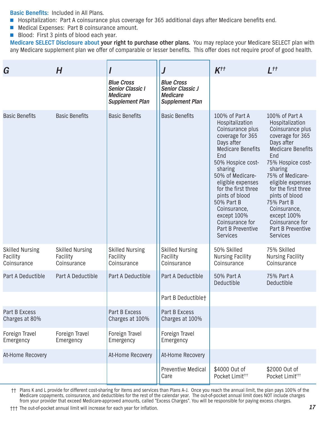**Basic Benefits:** Included in All Plans.

- Hospitalization: Part A coinsurance plus coverage for 365 additional days after Medicare benefits end.
- Medical Expenses: Part B coinsurance amount.
- Blood: First 3 pints of blood each year.

**Medicare SELECT Disclosure about your right to purchase other plans.** You may replace your Medicare SELECT plan with any Medicare supplement plan we offer of comparable or lesser benefits. This offer does not require proof of good health.

| G                                                 | H                                                 |                                                                                           |                                                                                           | $K^{tt}$                                                                                                                                                                                                                                                                                                                                             | $L^{tt}$                                                                                                                                                                                                                                                                                                                                             |
|---------------------------------------------------|---------------------------------------------------|-------------------------------------------------------------------------------------------|-------------------------------------------------------------------------------------------|------------------------------------------------------------------------------------------------------------------------------------------------------------------------------------------------------------------------------------------------------------------------------------------------------------------------------------------------------|------------------------------------------------------------------------------------------------------------------------------------------------------------------------------------------------------------------------------------------------------------------------------------------------------------------------------------------------------|
|                                                   |                                                   | <b>Blue Cross</b><br><b>Senior Classic I</b><br><b>Medicare</b><br><b>Supplement Plan</b> | <b>Blue Cross</b><br><b>Senior Classic J</b><br><b>Medicare</b><br><b>Supplement Plan</b> |                                                                                                                                                                                                                                                                                                                                                      |                                                                                                                                                                                                                                                                                                                                                      |
| <b>Basic Benefits</b>                             | <b>Basic Benefits</b>                             | <b>Basic Benefits</b>                                                                     | <b>Basic Benefits</b>                                                                     | 100% of Part A<br>Hospitalization<br>Coinsurance plus<br>coverage for 365<br>Days after<br><b>Medicare Benefits</b><br>End<br>50% Hospice cost-<br>sharing<br>50% of Medicare-<br>eligible expenses<br>for the first three<br>pints of blood<br>50% Part B<br>Coinsurance,<br>except 100%<br>Coinsurance for<br>Part B Preventive<br><b>Services</b> | 100% of Part A<br>Hospitalization<br>Coinsurance plus<br>coverage for 365<br>Days after<br><b>Medicare Benefits</b><br>End<br>75% Hospice cost-<br>sharing<br>75% of Medicare-<br>eligible expenses<br>for the first three<br>pints of blood<br>75% Part B<br>Coinsurance,<br>except 100%<br>Coinsurance for<br>Part B Preventive<br><b>Services</b> |
| <b>Skilled Nursing</b><br>Facility<br>Coinsurance | <b>Skilled Nursing</b><br>Facility<br>Coinsurance | <b>Skilled Nursing</b><br>Facility<br>Coinsurance                                         | <b>Skilled Nursing</b><br>Facility<br>Coinsurance                                         | 50% Skilled<br><b>Nursing Facility</b><br>Coinsurance                                                                                                                                                                                                                                                                                                | 75% Skilled<br><b>Nursing Facility</b><br>Coinsurance                                                                                                                                                                                                                                                                                                |
| Part A Deductible                                 | Part A Deductible                                 | Part A Deductible                                                                         | Part A Deductible                                                                         | 50% Part A<br><b>Deductible</b>                                                                                                                                                                                                                                                                                                                      | 75% Part A<br>Deductible                                                                                                                                                                                                                                                                                                                             |
|                                                   |                                                   |                                                                                           | Part B Deductible+                                                                        |                                                                                                                                                                                                                                                                                                                                                      |                                                                                                                                                                                                                                                                                                                                                      |
| Part B Excess<br>Charges at 80%                   |                                                   | Part B Excess<br>Charges at 100%                                                          | <b>Part B Excess</b><br>Charges at 100%                                                   |                                                                                                                                                                                                                                                                                                                                                      |                                                                                                                                                                                                                                                                                                                                                      |
| Foreign Travel<br>Emergency                       | Foreign Travel<br>Emergency                       | Foreign Travel<br>Emergency                                                               | Foreign Travel<br>Emergency                                                               |                                                                                                                                                                                                                                                                                                                                                      |                                                                                                                                                                                                                                                                                                                                                      |
| At-Home Recovery                                  |                                                   | At-Home Recovery                                                                          | At-Home Recovery                                                                          |                                                                                                                                                                                                                                                                                                                                                      |                                                                                                                                                                                                                                                                                                                                                      |
|                                                   |                                                   |                                                                                           | <b>Preventive Medical</b><br>Care                                                         | \$4000 Out of<br>Pocket Limit <sup>+++</sup>                                                                                                                                                                                                                                                                                                         | \$2000 Out of<br>Pocket Limit <sup>+++</sup>                                                                                                                                                                                                                                                                                                         |

†† Plans K and L provide for different cost-sharing for items and services than Plans A-J. Once you reach the annual limit, the plan pays 100% of the Medicare copayments, coinsurance, and deductibles for the rest of the calendar year. The out-of-pocket annual limit does NOT include charges from your provider that exceed Medicare-approved amounts, called "Excess Charges". You will be responsible for paying excess charges.

††† The out-of-pocket annual limit will increase for each year for inflation.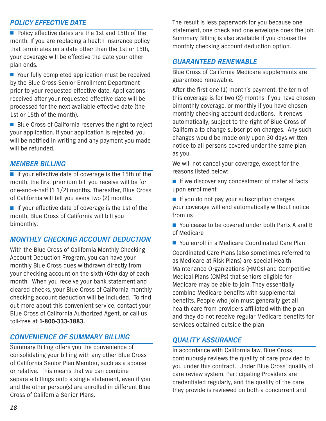#### *POLICY EFFECTIVE DATE*

■ Policy effective dates are the 1st and 15th of the month. If you are replacing a health insurance policy that terminates on a date other than the 1st or 15th, your coverage will be effective the date your other plan ends.

■ Your fully completed application must be received by the Blue Cross Senior Enrollment Department prior to your requested effective date. Applications received after your requested effective date will be processed for the next available effective date (the 1st or 15th of the month).

■ Blue Cross of California reserves the right to reject your application. If your application is rejected, you will be notified in writing and any payment you made will be refunded.

#### *MEMBER BILLING*

■ If your effective date of coverage is the 15th of the month, the first premium bill you receive will be for one-and-a-half (1 1/2) months. Thereafter, Blue Cross of California will bill you every two (2) months.

■ If your effective date of coverage is the 1st of the month, Blue Cross of California will bill you bimonthly.

#### *MONTHLY CHECKING ACCOUNT DEDUCTION*

With the Blue Cross of California Monthly Checking Account Deduction Program, you can have your monthly Blue Cross dues withdrawn directly from your checking account on the sixth (6th) day of each month. When you receive your bank statement and cleared checks, your Blue Cross of California monthly checking account deduction will be included. To find out more about this convenient service, contact your Blue Cross of California Authorized Agent, or call us toll-free at **1-800-333-3883.**

#### *CONVENIENCE OF SUMMARY BILLING*

Summary Billing offers you the convenience of consolidating your billing with any other Blue Cross of California Senior Plan Member, such as a spouse or relative. This means that we can combine separate billings onto a single statement, even if you and the other person(s) are enrolled in different Blue Cross of California Senior Plans.

The result is less paperwork for you because one statement, one check and one envelope does the job. Summary Billing is also available if you choose the monthly checking account deduction option.

#### *GUARANTEED RENEWABLE*

Blue Cross of California Medicare supplements are guaranteed renewable.

After the first one (1) month's payment, the term of this coverage is for two (2) months if you have chosen bimonthly coverage, or monthly if you have chosen monthly checking account deductions. It renews automatically, subject to the right of Blue Cross of California to change subscription charges. Any such changes would be made only upon 30 days written notice to all persons covered under the same plan as you.

We will not cancel your coverage, except for the reasons listed below:

■ If we discover any concealment of material facts upon enrollment

■ If you do not pay your subscription charges, your coverage will end automatically without notice from us

■ You cease to be covered under both Parts A and B of Medicare

■ You enroll in a Medicare Coordinated Care Plan

Coordinated Care Plans (also sometimes referred to as Medicare-at-Risk Plans) are special Health Maintenance Organizations (HMOs) and Competitive Medical Plans (CMPs) that seniors eligible for Medicare may be able to join. They essentially combine Medicare benefits with supplemental benefits. People who join must generally get all health care from providers affiliated with the plan, and they do not receive regular Medicare benefits for services obtained outside the plan.

#### *QUALITY ASSURANCE*

In accordance with California law, Blue Cross continuously reviews the quality of care provided to you under this contract. Under Blue Cross' quality of care review system, Participating Providers are credentialed regularly, and the quality of the care they provide is reviewed on both a concurrent and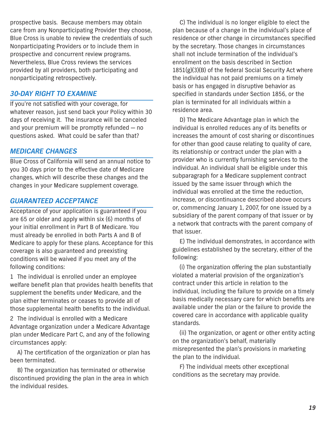prospective basis. Because members may obtain care from any Nonparticipating Provider they choose, Blue Cross is unable to review the credentials of such Nonparticipating Providers or to include them in prospective and concurrent review programs. Nevertheless, Blue Cross reviews the services provided by all providers, both participating and nonparticipating retrospectively.

#### *30-DAY RIGHT TO EXAMINE*

If you're not satisfied with your coverage, for whatever reason, just send back your Policy within 30 days of receiving it. The insurance will be canceled and your premium will be promptly refunded — no questions asked. What could be safer than that?

#### *MEDICARE CHANGES*

Blue Cross of California will send an annual notice to you 30 days prior to the effective date of Medicare changes, which will describe these changes and the changes in your Medicare supplement coverage.

#### *GUARANTEED ACCEPTANCE*

Acceptance of your application is guaranteed if you are 65 or older and apply within six (6) months of your initial enrollment in Part B of Medicare. You must already be enrolled in both Parts A and B of Medicare to apply for these plans. Acceptance for this coverage is also guaranteed and preexisting conditions will be waived if you meet any of the following conditions:

1 The individual is enrolled under an employee welfare benefit plan that provides health benefits that supplement the benefits under Medicare, and the plan either terminates or ceases to provide all of those supplemental health benefits to the individual.

2 The individual is enrolled with a Medicare Advantage organization under a Medicare Advantage plan under Medicare Part C, and any of the following circumstances apply:

A) The certification of the organization or plan has been terminated.

B) The organization has terminated or otherwise discontinued providing the plan in the area in which the individual resides.

C) The individual is no longer eligible to elect the plan because of a change in the individual's place of residence or other change in circumstances specified by the secretary. Those changes in circumstances shall not include termination of the individual's enrollment on the basis described in Section  $1851(g)(3)(B)$  of the federal Social Security Act where the individual has not paid premiums on a timely basis or has engaged in disruptive behavior as specified in standards under Section 1856, or the plan is terminated for all individuals within a residence area.

D) The Medicare Advantage plan in which the individual is enrolled reduces any of its benefits or increases the amount of cost sharing or discontinues for other than good cause relating to quality of care, its relationship or contract under the plan with a provider who is currently furnishing services to the individual. An individual shall be eligible under this subparagraph for a Medicare supplement contract issued by the same issuer through which the individual was enrolled at the time the reduction, increase, or discontinuance described above occurs or, commencing January 1, 2007, for one issued by a subsidiary of the parent company of that issuer or by a network that contracts with the parent company of that issuer.

E) The individual demonstrates, in accordance with guidelines established by the secretary, either of the following:

(i) The organization offering the plan substantially violated a material provision of the organization's contract under this article in relation to the individual, including the failure to provide on a timely basis medically necessary care for which benefits are available under the plan or the failure to provide the covered care in accordance with applicable quality standards.

(ii) The organization, or agent or other entity acting on the organization's behalf, materially misrepresented the plan's provisions in marketing the plan to the individual.

F) The individual meets other exceptional conditions as the secretary may provide.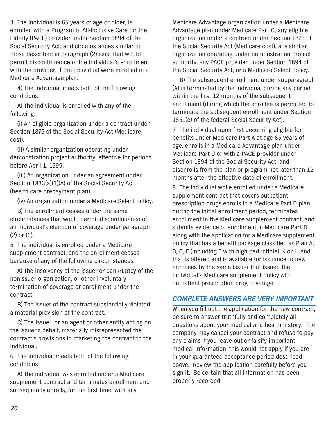3 The individual is 65 years of age or older, is enrolled with a Program of All-Inclusive Care for the Elderly (PACE) provider under Section 1894 of the Social Security Act, and circumstances similar to those described in paragraph (2) exist that would permit discontinuance of the individual's enrollment with the provider, if the individual were enrolled in a Medicare Advantage plan.

4) The individual meets both of the following conditions:

A) The individual is enrolled with any of the following:

(i) An eligible organization under a contract under Section 1876 of the Social Security Act (Medicare cost).

(ii) A similar organization operating under demonstration project authority, effective for periods before April 1, 1999.

(iii) An organization under an agreement under Section 1833(a)(1)(A) of the Social Security Act (health care prepayment plan).

(iv) An organization under a Medicare Select policy.

B) The enrollment ceases under the same circumstances that would permit discontinuance of an individual's election of coverage under paragraph (2) or (3).

5 The individual is enrolled under a Medicare supplement contract, and the enrollment ceases because of any of the following circumstances:

A) The insolvency of the issuer or bankruptcy of the nonissuer organization, or other involuntary termination of coverage or enrollment under the contract.

B) The issuer of the contract substantially violated a material provision of the contract.

C) The issuer, or an agent or other entity acting on the issuer's behalf, materially misrepresented the contract's provisions in marketing the contract to the individual.

6 The individual meets both of the following conditions:

A) The individual was enrolled under a Medicare supplement contract and terminates enrollment and subsequently enrolls, for the first time, with any

Medicare Advantage organization under a Medicare Advantage plan under Medicare Part C, any eligible organization under a contract under Section 1876 of the Social Security Act (Medicare cost), any similar organization operating under demonstration project authority, any PACE provider under Section 1894 of the Social Security Act, or a Medicare Select policy.

B) The subsequent enrollment under subparagraph (A) is terminated by the individual during any period within the first 12 months of the subsequent enrollment (during which the enrollee is permitted to terminate the subsequent enrollment under Section 1851(e) of the federal Social Security Act).

7 The individual upon first becoming eligible for benefits under Medicare Part A at age 65 years of age, enrolls in a Medicare Advantage plan under Medicare Part C or with a PACE provider under Section 1894 of the Social Security Act, and disenrolls from the plan or program not later than 12 months after the effective date of enrollment.

8 The individual while enrolled under a Medicare supplement contract that covers outpatient prescription drugs enrolls in a Medicare Part D plan during the initial enrollment period, terminates enrollment in the Medicare supplement contract, and submits evidence of enrollment in Medicare Part D along with the application for a Medicare supplement policy that has a benefit package classified as Plan A, B, C, F (including F with high deductible), K or L, and that is offered and is available for issuance to new enrollees by the same issuer that issued the individual's Medicare supplement policy with outpatient prescription drug coverage.

#### *COMPLETE ANSWERS ARE VERY IMPORTANT*

When you fill out the application for the new contract, be sure to answer truthfully and completely all questions about your medical and health history. The company may cancel your contract and refuse to pay any claims if you leave out or falsify important medical information; this would not apply if you are in your guaranteed acceptance period described above. Review the application carefully before you sign it. Be certain that all information has been properly recorded.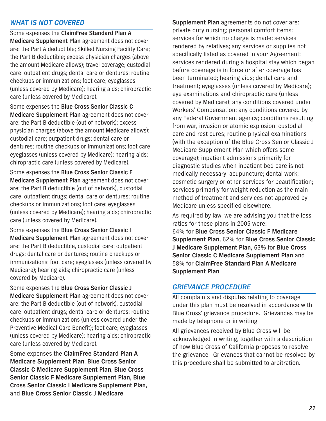#### *WHAT IS NOT COVERED*

Some expenses the **ClaimFree Standard Plan A Medicare Supplement Plan** agreement does not cover are: the Part A deductible; Skilled Nursing Facility Care; the Part B deductible; excess physician charges (above the amount Medicare allows); travel coverage; custodial care; outpatient drugs; dental care or dentures; routine checkups or immunizations; foot care; eyeglasses (unless covered by Medicare); hearing aids; chiropractic care (unless covered by Medicare).

Some expenses the **Blue Cross Senior Classic C Medicare Supplement Plan** agreement does not cover are: the Part B deductible (out of network); excess physician charges (above the amount Medicare allows); custodial care; outpatient drugs; dental care or dentures; routine checkups or immunizations; foot care; eyeglasses (unless covered by Medicare); hearing aids; chiropractic care (unless covered by Medicare).

Some expenses the **Blue Cross Senior Classic F Medicare Supplement Plan** agreement does not cover are: the Part B deductible (out of network), custodial care; outpatient drugs; dental care or dentures; routine checkups or immunizations; foot care; eyeglasses (unless covered by Medicare); hearing aids; chiropractic care (unless covered by Medicare).

Some expenses the **Blue Cross Senior Classic I Medicare Supplement Plan** agreement does not cover are: the Part B deductible, custodial care; outpatient drugs; dental care or dentures; routine checkups or immunizations; foot care; eyeglasses (unless covered by Medicare); hearing aids; chiropractic care (unless covered by Medicare).

Some expenses the **Blue Cross Senior Classic J Medicare Supplement Plan** agreement does not cover are: the Part B deductible (out of network), custodial care; outpatient drugs; dental care or dentures; routine checkups or immunizations (unless covered under the Preventive Medical Care Benefit); foot care; eyeglasses (unless covered by Medicare); hearing aids; chiropractic care (unless covered by Medicare).

Some expenses the **ClaimFree Standard Plan A Medicare Supplement Plan**, **Blue Cross Senior Classic C Medicare Supplement Plan**, **Blue Cross Senior Classic F Medicare Supplement Plan, Blue Cross Senior Classic I Medicare Supplement Plan,** and **Blue Cross Senior Classic J Medicare**

**Supplement Plan** agreements do not cover are: private duty nursing; personal comfort items; services for which no charge is made; services rendered by relatives; any services or supplies not specifically listed as covered in your Agreement; services rendered during a hospital stay which began before coverage is in force or after coverage has been terminated; hearing aids; dental care and treatment; eyeglasses (unless covered by Medicare); eye examinations and chiropractic care (unless covered by Medicare); any conditions covered under Workers' Compensation; any conditions covered by any Federal Government agency; conditions resulting from war, invasion or atomic explosion; custodial care and rest cures; routine physical examinations (with the exception of the Blue Cross Senior Classic J Medicare Supplement Plan which offers some coverage); inpatient admissions primarily for diagnostic studies when inpatient bed care is not medically necessary; acupuncture; dental work; cosmetic surgery or other services for beautification; services primarily for weight reduction as the main method of treatment and services not approved by Medicare unless specified elsewhere.

As required by law, we are advising you that the loss ratios for these plans in 2005 were: 64% for **Blue Cross Senior Classic F Medicare Supplement Plan,** 62% for **Blue Cross Senior Classic J Medicare Supplement Plan,** 63% for **Blue Cross Senior Classic C Medicare Supplement Plan** and 58% for **ClaimFree Standard Plan A Medicare Supplement Plan**.

#### *GRIEVANCE PROCEDURE*

All complaints and disputes relating to coverage under this plan must be resolved in accordance with Blue Cross' grievance procedure. Grievances may be made by telephone or in writing.

All grievances received by Blue Cross will be acknowledged in writing, together with a description of how Blue Cross of California proposes to resolve the grievance. Grievances that cannot be resolved by this procedure shall be submitted to arbitration.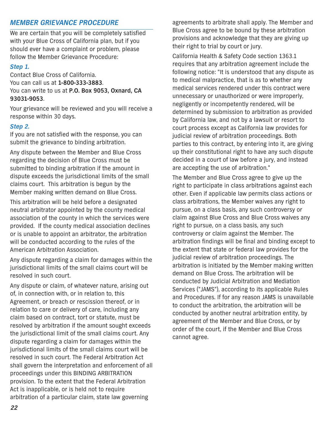#### *MEMBER GRIEVANCE PROCEDURE*

We are certain that you will be completely satisfied with your Blue Cross of California plan, but if you should ever have a complaint or problem, please follow the Member Grievance Procedure:

#### *Step 1.*

Contact Blue Cross of California. You can call us at **1-800-333-3883**. You can write to us at **P.O. Box 9053, Oxnard, CA 93031-9053**.

Your grievance will be reviewed and you will receive a response within 30 days.

#### *Step 2.*

If you are not satisfied with the response, you can submit the grievance to binding arbitration.

Any dispute between the Member and Blue Cross regarding the decision of Blue Cross must be submitted to binding arbitration if the amount in dispute exceeds the jurisdictional limits of the small claims court. This arbitration is begun by the Member making written demand on Blue Cross.

This arbitration will be held before a designated neutral arbitrator appointed by the county medical association of the county in which the services were provided. If the county medical association declines or is unable to appoint an arbitrator, the arbitration will be conducted according to the rules of the American Arbitration Association.

Any dispute regarding a claim for damages within the jurisdictional limits of the small claims court will be resolved in such court.

Any dispute or claim, of whatever nature, arising out of, in connection with, or in relation to, this Agreement, or breach or rescission thereof, or in relation to care or delivery of care, including any claim based on contract, tort or statute, must be resolved by arbitration if the amount sought exceeds the jurisdictional limit of the small claims court. Any dispute regarding a claim for damages within the jurisdictional limits of the small claims court will be resolved in such court. The Federal Arbitration Act shall govern the interpretation and enforcement of all proceedings under this BINDING ARBITRATION provision. To the extent that the Federal Arbitration Act is inapplicable, or is held not to require arbitration of a particular claim, state law governing

agreements to arbitrate shall apply. The Member and Blue Cross agree to be bound by these arbitration provisions and acknowledge that they are giving up their right to trial by court or jury.

California Health & Safety Code section 1363.1 requires that any arbitration agreement include the following notice: "It is understood that any dispute as to medical malpractice, that is as to whether any medical services rendered under this contract were unnecessary or unauthorized or were improperly, negligently or incompetently rendered, will be determined by submission to arbitration as provided by California law, and not by a lawsuit or resort to court process except as California law provides for judicial review of arbitration proceedings. Both parties to this contract, by entering into it, are giving up their constitutional right to have any such dispute decided in a court of law before a jury, and instead are accepting the use of arbitration."

The Member and Blue Cross agree to give up the right to participate in class arbitrations against each other. Even if applicable law permits class actions or class arbitrations, the Member waives any right to pursue, on a class basis, any such controversy or claim against Blue Cross and Blue Cross waives any right to pursue, on a class basis, any such controversy or claim against the Member. The arbitration findings will be final and binding except to the extent that state or federal law provides for the judicial review of arbitration proceedings. The arbitration is initiated by the Member making written demand on Blue Cross. The arbitration will be conducted by Judicial Arbitration and Mediation Services ("JAMS"), according to its applicable Rules and Procedures. If for any reason JAMS is unavailable to conduct the arbitration, the arbitration will be conducted by another neutral arbitration entity, by agreement of the Member and Blue Cross, or by order of the court, if the Member and Blue Cross cannot agree.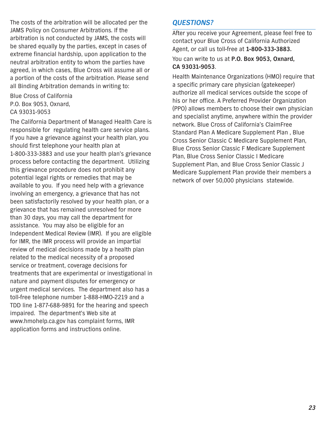The costs of the arbitration will be allocated per the JAMS Policy on Consumer Arbitrations. If the arbitration is not conducted by JAMS, the costs will be shared equally by the parties, except in cases of extreme financial hardship, upon application to the neutral arbitration entity to whom the parties have agreed, in which cases, Blue Cross will assume all or a portion of the costs of the arbitration. Please send all Binding Arbitration demands in writing to:

Blue Cross of California P.O. Box 9053, Oxnard, CA 93031-9053

The California Department of Managed Health Care is responsible for regulating health care service plans. If you have a grievance against your health plan, you should first telephone your health plan at 1-800-333-3883 and use your health plan's grievance process before contacting the department. Utilizing this grievance procedure does not prohibit any potential legal rights or remedies that may be available to you. If you need help with a grievance involving an emergency, a grievance that has not been satisfactorily resolved by your health plan, or a grievance that has remained unresolved for more than 30 days, you may call the department for assistance. You may also be eligible for an Independent Medical Review (IMR). If you are eligible for IMR, the IMR process will provide an impartial review of medical decisions made by a health plan related to the medical necessity of a proposed service or treatment, coverage decisions for treatments that are experimental or investigational in nature and payment disputes for emergency or urgent medical services. The department also has a toll-free telephone number 1-888-HMO-2219 and a TDD line 1-877-688-9891 for the hearing and speech impaired. The department's Web site at www.hmohelp.ca.gov has complaint forms, IMR application forms and instructions online.

#### *QUESTIONS?*

After you receive your Agreement, please feel free to contact your Blue Cross of California Authorized Agent, or call us toll-free at **1-800-333-3883.**

You can write to us at **P.O. Box 9053, Oxnard, CA 93031-9053**.

Health Maintenance Organizations (HMO) require that a specific primary care physician (gatekeeper) authorize all medical services outside the scope of his or her office. A Preferred Provider Organization (PPO) allows members to choose their own physician and specialist anytime, anywhere within the provider network. Blue Cross of California's ClaimFree Standard Plan A Medicare Supplement Plan , Blue Cross Senior Classic C Medicare Supplement Plan, Blue Cross Senior Classic F Medicare Supplement Plan, Blue Cross Senior Classic I Medicare Supplement Plan, and Blue Cross Senior Classic J Medicare Supplement Plan provide their members a network of over 50,000 physicians statewide.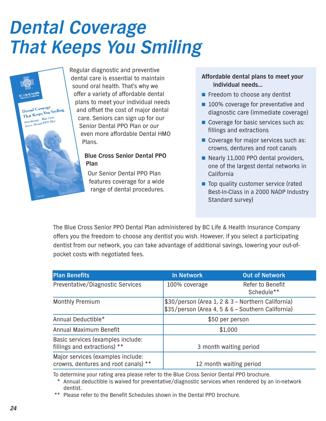## *Dental Coverage That Keeps You Smiling*



Regular diagnostic and preventive dental care is essential to maintain sound oral health. That's why we offer a variety of affordable dental plans to meet your individual needs and offset the cost of major dental care. Seniors can sign up for our Senior Dental PPO Plan or our even more affordable Dental HMO **Plans** 

#### **Blue Cross Senior Dental PPO Plan**

Our Senior Dental PPO Plan features coverage for a wide range of dental procedures.

#### **Affordable dental plans to meet your individual needs…**

- Freedom to choose any dentist
- 100% coverage for preventative and diagnostic care (immediate coverage)
- Coverage for basic services such as: fillings and extractions
- Coverage for major services such as: crowns, dentures and root canals
- Nearly 11,000 PPO dental providers, one of the largest dental networks in California
- Top quality customer service (rated Best-in-Class in a 2000 NADP Industry Standard survey)

The Blue Cross Senior PPO Dental Plan administered by BC Life & Health Insurance Company offers you the freedom to choose any dentist you wish. However, if you select a participating dentist from our network, you can take advantage of additional savings, lowering your out-ofpocket costs with negotiated fees.

| <b>Plan Benefits</b>                                                      | <b>In Network</b>                                                                                      | <b>Out of Network</b>          |  |
|---------------------------------------------------------------------------|--------------------------------------------------------------------------------------------------------|--------------------------------|--|
| Preventative/Diagnostic Services                                          | 100% coverage                                                                                          | Refer to Benefit<br>Schedule** |  |
| <b>Monthly Premium</b>                                                    | \$30/person (Area 1, 2 & 3 - Northern California)<br>\$35/person (Area 4, 5 & 6 - Southern California) |                                |  |
| Annual Deductible*                                                        | \$50 per person                                                                                        |                                |  |
| Annual Maximum Benefit                                                    | \$1,000                                                                                                |                                |  |
| Basic services (examples include:<br>fillings and extractions) **         |                                                                                                        | 3 month waiting period         |  |
| Major services (examples include:<br>crowns, dentures and root canals) ** |                                                                                                        | 12 month waiting period        |  |

To determine your rating area please refer to the Blue Cross Senior Dental PPO brochure.

\* Annual deductible is waived for preventative/diagnostic services when rendered by an in-network dentist.

\*\* Please refer to the Benefit Schedules shown in the Dental PPO brochure.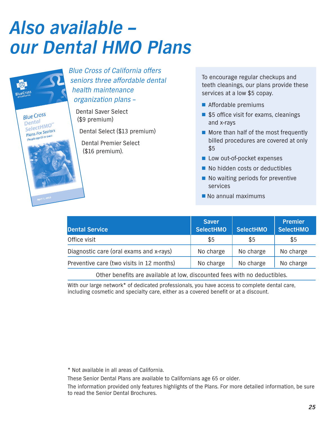## *Also available – our Dental HMO Plans*



Blue Cross of California offers seniors three affordable dental health maintenance organization plans –

Dental Saver Select (\$9 premium)

Dental Select (\$13 premium)

Dental Premier Select (\$16 premium).

To encourage regular checkups and teeth cleanings, our plans provide these services at a low \$5 copay.

- Affordable premiums
- \$5 office visit for exams, cleanings and x-rays
- More than half of the most frequently billed procedures are covered at only \$5
- Low out-of-pocket expenses
- No hidden costs or deductibles
- No waiting periods for preventive services
- No annual maximums

| <b>Dental Service</b>                     | <b>Saver</b><br><b>SelectHMO</b> | <b>SelectHMO</b> | <b>Premier</b><br><b>SelectHMO</b> |
|-------------------------------------------|----------------------------------|------------------|------------------------------------|
| Office visit                              | \$5                              | \$5              | \$5                                |
| Diagnostic care (oral exams and x-rays)   | No charge                        | No charge        | No charge                          |
| Preventive care (two visits in 12 months) | No charge                        | No charge        | No charge                          |

Other benefits are available at low, discounted fees with no deductibles.

With our large network\* of dedicated professionals, you have access to complete dental care, including cosmetic and specialty care, either as a covered benefit or at a discount.

\* Not available in all areas of California.

These Senior Dental Plans are available to Californians age 65 or older.

The information provided only features highlights of the Plans. For more detailed information, be sure to read the Senior Dental Brochures.